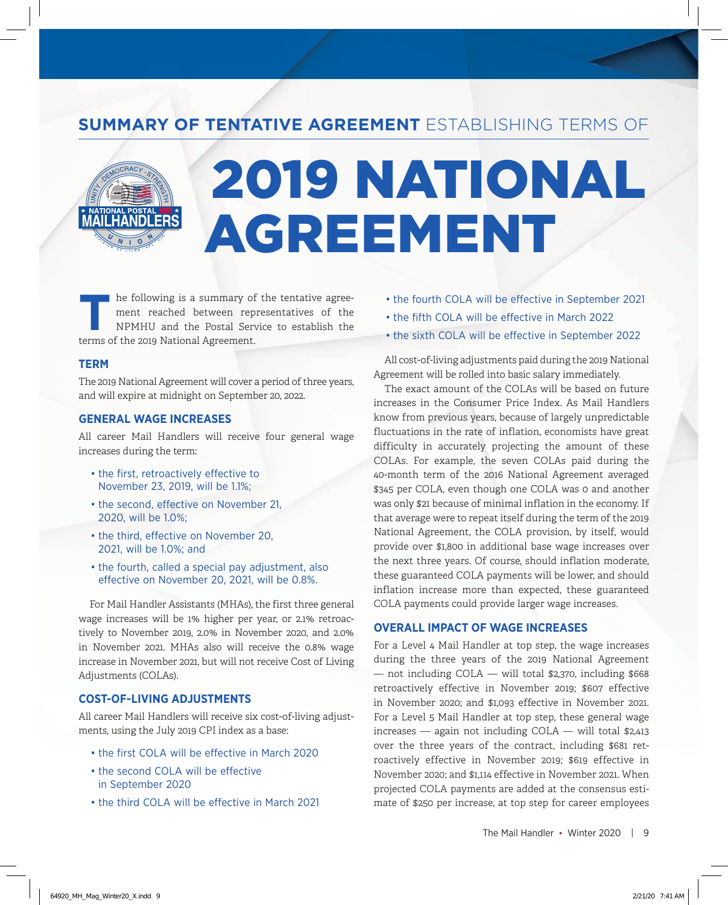### SUMMARY OF TENTATIVE AGREEMENT ESTABLISHING TERMS OF

# 2019 NATIONAL AGREEMENT

The following is a summary of the tentative agreement reached between representatives of the NPMHU and the Postal Service to establish the terms of the 2010 National Agreement ment reached between representatives of the NPMHU and the Postal Service to establish the terms of the 2019 National Agreement.

#### **TERM**

The 2019 National Agreement will cover a period of three years, and will expire at midnight on September 20, 2022.

#### **GENERAL WAGE INCREASES**

All career Mail Handlers will receive four general wage increases during the term:

- the first, retroactively effective to November 23, 2019, will be 1.1%;
- the second, effective on November 21, 2020, will be 1.0%;
- the third, effective on November 20, 2021, will be 1.0%; and
- the fourth, called a special pay adjustment, also effective on November 20, 2021, will be 0.8%.

For Mail Handler Assistants (MHAs), the first three general wage increases will be 1% higher per year, or 2.1% retroactively to November 2019, 2.0% in November 2020, and 2.0% in November 2021. MHAs also will receive the 0.8% wage increase in November 2021, but will not receive Cost of Living Adjustments (COLAs).

#### **COST-OF-LIVING ADJUSTMENTS**

All career Mail Handlers will receive six cost-of-living adjustments, using the July 2019 CPI index as a base:

- the first COLA will be effective in March 2020
- the second COLA will be effective in September 2020
- the third COLA will be effective in March 2021
- the fourth COLA will be effective in September 2021
- the fifth COLA will be effective in March 2022
- the sixth COLA will be effective in September 2022

All cost-of-living adjustments paid during the 2019 National Agreement will be rolled into basic salary immediately.

The exact amount of the COLAs will be based on future increases in the Consumer Price Index. As Mail Handlers know from previous years, because of largely unpredictable fluctuations in the rate of inflation, economists have great difficulty in accurately projecting the amount of these COLAs. For example, the seven COLAs paid during the 40-month term of the 2016 National Agreement averaged \$345 per COLA, even though one COLA was 0 and another was only \$21 because of minimal inflation in the economy. If that average were to repeat itself during the term of the 2019 National Agreement, the COLA provision, by itself, would provide over \$1,800 in additional base wage increases over the next three years. Of course, should inflation moderate, these guaranteed COLA payments will be lower, and should inflation increase more than expected, these guaranteed COLA payments could provide larger wage increases.

#### **OVERALL IMPACT OF WAGE INCREASES**

For a Level 4 Mail Handler at top step, the wage increases during the three years of the 2019 National Agreement  $-$  not including COLA  $-$  will total \$2,370, including \$668 retroactively effective in November 2019; \$607 effective in November 2020; and \$1,093 effective in November 2021. For a Level 5 Mail Handler at top step, these general wage increases — again not including COLA — will total \$2,413 over the three years of the contract, including \$681 retroactively effective in November 2019; \$619 effective in November 2020; and \$1,114 effective in November 2021. When projected COLA payments are added at the consensus estimate of \$250 per increase, at top step for career employees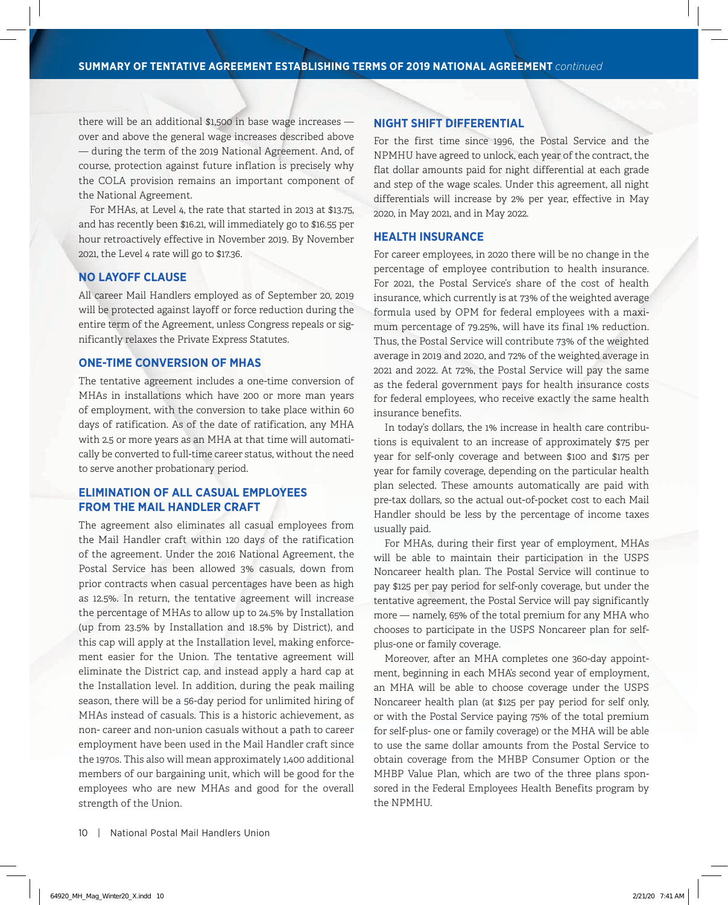there will be an additional \$1,500 in base wage increases over and above the general wage increases described above — during the term of the 2019 National Agreement. And, of course, protection against future inflation is precisely why the COLA provision remains an important component of the National Agreement.

For MHAs, at Level 4, the rate that started in 2013 at \$13.75, and has recently been \$16.21, will immediately go to \$16.55 per hour retroactively effective in November 2019. By November 2021, the Level 4 rate will go to \$17.36.

#### **NO LAYOFF CLAUSE**

All career Mail Handlers employed as of September 20, 2019 will be protected against layoff or force reduction during the entire term of the Agreement, unless Congress repeals or significantly relaxes the Private Express Statutes.

#### **ONE-TIME CONVERSION OF MHAS**

The tentative agreement includes a one-time conversion of MHAs in installations which have 200 or more man years of employment, with the conversion to take place within 60 days of ratification. As of the date of ratification, any MHA with 2.5 or more years as an MHA at that time will automatically be converted to full-time career status, without the need to serve another probationary period.

#### **ELIMINATION OF ALL CASUAL EMPLOYEES FROM THE MAIL HANDLER CRAFT**

The agreement also eliminates all casual employees from the Mail Handler craft within 120 days of the ratification of the agreement. Under the 2016 National Agreement, the Postal Service has been allowed 3% casuals, down from prior contracts when casual percentages have been as high as 12.5%. In return, the tentative agreement will increase the percentage of MHAs to allow up to 24.5% by Installation (up from 23.5% by Installation and 18.5% by District), and this cap will apply at the Installation level, making enforcement easier for the Union. The tentative agreement will eliminate the District cap, and instead apply a hard cap at the Installation level. In addition, during the peak mailing season, there will be a 56-day period for unlimited hiring of MHAs instead of casuals. This is a historic achievement, as non- career and non-union casuals without a path to career employment have been used in the Mail Handler craft since the 1970s. This also will mean approximately 1,400 additional members of our bargaining unit, which will be good for the employees who are new MHAs and good for the overall strength of the Union.

#### **NIGHT SHIFT DIFFERENTIAL**

For the first time since 1996, the Postal Service and the NPMHU have agreed to unlock, each year of the contract, the flat dollar amounts paid for night differential at each grade and step of the wage scales. Under this agreement, all night differentials will increase by 2% per year, effective in May 2020, in May 2021, and in May 2022.

#### **HEALTH INSURANCE**

For career employees, in 2020 there will be no change in the percentage of employee contribution to health insurance. For 2021, the Postal Service's share of the cost of health insurance, which currently is at 73% of the weighted average formula used by OPM for federal employees with a maximum percentage of 79.25%, will have its final 1% reduction. Thus, the Postal Service will contribute 73% of the weighted average in 2019 and 2020, and 72% of the weighted average in 2021 and 2022. At 72%, the Postal Service will pay the same as the federal government pays for health insurance costs for federal employees, who receive exactly the same health insurance benefits.

In today's dollars, the 1% increase in health care contributions is equivalent to an increase of approximately \$75 per year for self-only coverage and between \$100 and \$175 per year for family coverage, depending on the particular health plan selected. These amounts automatically are paid with pre-tax dollars, so the actual out-of-pocket cost to each Mail Handler should be less by the percentage of income taxes usually paid.

For MHAs, during their first year of employment, MHAs will be able to maintain their participation in the USPS Noncareer health plan. The Postal Service will continue to pay \$125 per pay period for self-only coverage, but under the tentative agreement, the Postal Service will pay significantly more — namely, 65% of the total premium for any MHA who chooses to participate in the USPS Noncareer plan for selfplus-one or family coverage.

Moreover, after an MHA completes one 360-day appointment, beginning in each MHA's second year of employment, an MHA will be able to choose coverage under the USPS Noncareer health plan (at \$125 per pay period for self only, or with the Postal Service paying 75% of the total premium for self-plus- one or family coverage) or the MHA will be able to use the same dollar amounts from the Postal Service to obtain coverage from the MHBP Consumer Option or the MHBP Value Plan, which are two of the three plans sponsored in the Federal Employees Health Benefits program by the NPMHU.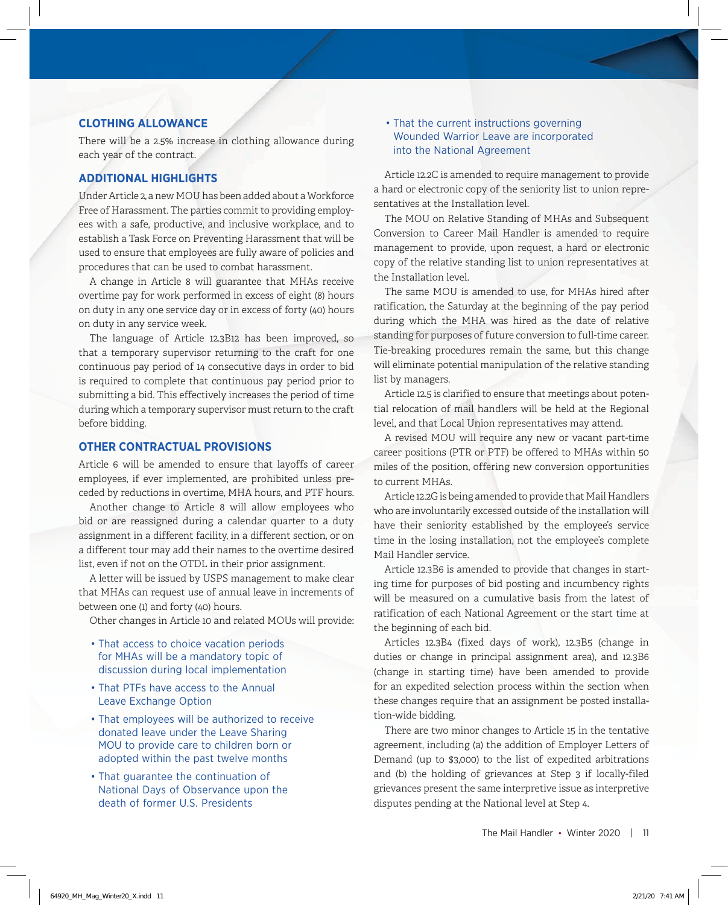#### **CLOTHING ALLOWANCE**

There will be a 2.5% increase in clothing allowance during each year of the contract.

#### **ADDITIONAL HIGHLIGHTS**

Under Article 2, a new MOU has been added about a Workforce Free of Harassment. The parties commit to providing employees with a safe, productive, and inclusive workplace, and to establish a Task Force on Preventing Harassment that will be used to ensure that employees are fully aware of policies and procedures that can be used to combat harassment.

A change in Article 8 will guarantee that MHAs receive overtime pay for work performed in excess of eight (8) hours on duty in any one service day or in excess of forty (40) hours on duty in any service week.

The language of Article 12.3B12 has been improved, so that a temporary supervisor returning to the craft for one continuous pay period of 14 consecutive days in order to bid is required to complete that continuous pay period prior to submitting a bid. This effectively increases the period of time during which a temporary supervisor must return to the craft before bidding.

#### **OTHER CONTRACTUAL PROVISIONS**

Article 6 will be amended to ensure that layoffs of career employees, if ever implemented, are prohibited unless preceded by reductions in overtime, MHA hours, and PTF hours.

Another change to Article 8 will allow employees who bid or are reassigned during a calendar quarter to a duty assignment in a different facility, in a different section, or on a different tour may add their names to the overtime desired list, even if not on the OTDL in their prior assignment.

A letter will be issued by USPS management to make clear that MHAs can request use of annual leave in increments of between one (1) and forty (40) hours.

Other changes in Article 10 and related MOUs will provide:

- That access to choice vacation periods for MHAs will be a mandatory topic of discussion during local implementation
- That PTFs have access to the Annual Leave Exchange Option
- That employees will be authorized to receive donated leave under the Leave Sharing MOU to provide care to children born or adopted within the past twelve months
- That guarantee the continuation of National Days of Observance upon the death of former U.S. Presidents

#### • That the current instructions governing Wounded Warrior Leave are incorporated into the National Agreement

Article 12.2C is amended to require management to provide a hard or electronic copy of the seniority list to union representatives at the Installation level.

The MOU on Relative Standing of MHAs and Subsequent Conversion to Career Mail Handler is amended to require management to provide, upon request, a hard or electronic copy of the relative standing list to union representatives at the Installation level.

The same MOU is amended to use, for MHAs hired after ratification, the Saturday at the beginning of the pay period during which the MHA was hired as the date of relative standing for purposes of future conversion to full-time career. Tie-breaking procedures remain the same, but this change will eliminate potential manipulation of the relative standing list by managers.

Article 12.5 is clarified to ensure that meetings about potential relocation of mail handlers will be held at the Regional level, and that Local Union representatives may attend.

A revised MOU will require any new or vacant part-time career positions (PTR or PTF) be offered to MHAs within 50 miles of the position, offering new conversion opportunities to current MHAs.

Article 12.2G is being amended to provide that Mail Handlers who are involuntarily excessed outside of the installation will have their seniority established by the employee's service time in the losing installation, not the employee's complete Mail Handler service.

Article 12.3B6 is amended to provide that changes in starting time for purposes of bid posting and incumbency rights will be measured on a cumulative basis from the latest of ratification of each National Agreement or the start time at the beginning of each bid.

Articles 12.3B4 (fixed days of work), 12.3B5 (change in duties or change in principal assignment area), and 12.3B6 (change in starting time) have been amended to provide for an expedited selection process within the section when these changes require that an assignment be posted installation-wide bidding.

There are two minor changes to Article 15 in the tentative agreement, including (a) the addition of Employer Letters of Demand (up to \$3,000) to the list of expedited arbitrations and (b) the holding of grievances at Step 3 if locally-filed grievances present the same interpretive issue as interpretive disputes pending at the National level at Step 4.